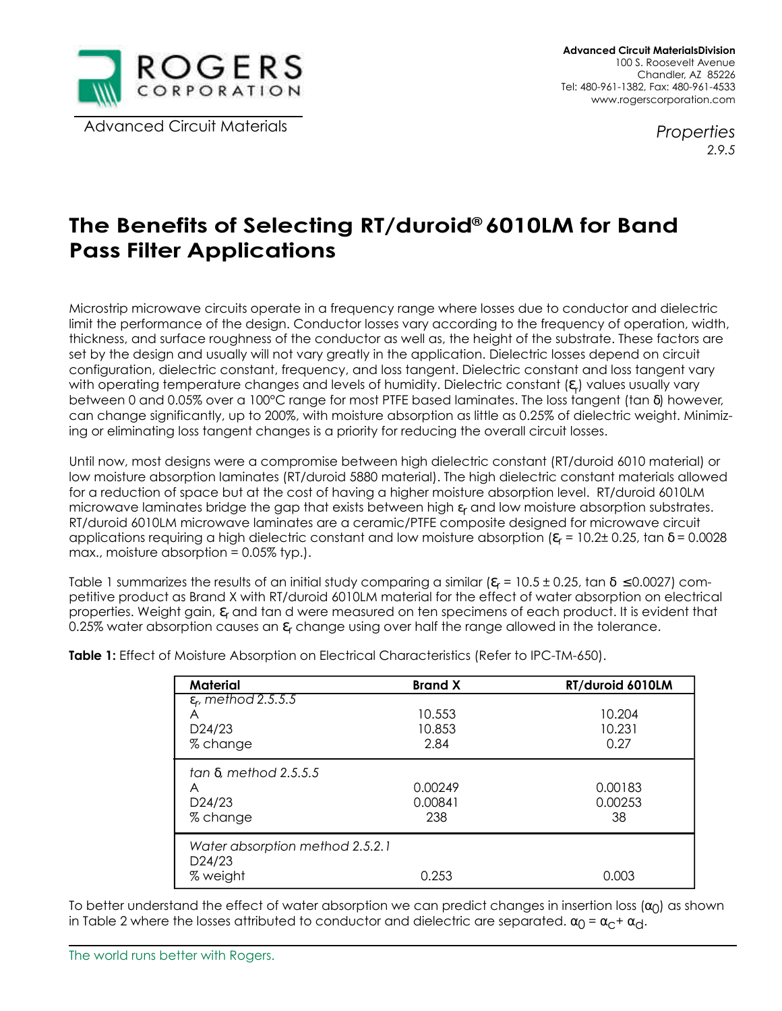

Advanced Circuit Materials

*Properties 2.9.5*

## **The Benefits of Selecting RT/duroid® 6010LM for Band Pass Filter Applications**

Microstrip microwave circuits operate in a frequency range where losses due to conductor and dielectric limit the performance of the design. Conductor losses vary according to the frequency of operation, width, thickness, and surface roughness of the conductor as well as, the height of the substrate. These factors are set by the design and usually will not vary greatly in the application. Dielectric losses depend on circuit configuration, dielectric constant, frequency, and loss tangent. Dielectric constant and loss tangent vary with operating temperature changes and levels of humidity. Dielectric constant  $(\varepsilon_{_{\!T}}$ ) values usually vary between 0 and 0.05% over a 100°C range for most PTFE based laminates. The loss tangent (tan δ) however, can change significantly, up to 200%, with moisture absorption as little as 0.25% of dielectric weight. Minimizing or eliminating loss tangent changes is a priority for reducing the overall circuit losses.

Until now, most designs were a compromise between high dielectric constant (RT/duroid 6010 material) or low moisture absorption laminates (RT/duroid 5880 material). The high dielectric constant materials allowed for a reduction of space but at the cost of having a higher moisture absorption level. RT/duroid 6010LM microwave laminates bridge the gap that exists between high  $\epsilon_{\mathsf{f}}$  and low moisture absorption substrates. RT/duroid 6010LM microwave laminates are a ceramic/PTFE composite designed for microwave circuit applications requiring a high dielectric constant and low moisture absorption ( $\epsilon_{\rm r}$  = 10.2± 0.25, tan  $\delta$  = 0.0028 max., moisture absorption = 0.05% typ.).

Table 1 summarizes the results of an initial study comparing a similar ( $\epsilon_{\rm r}$  = 10.5 ± 0.25, tan  $\delta$  ≤0.0027) competitive product as Brand X with RT/duroid 6010LM material for the effect of water absorption on electrical properties. Weight gain,  $\varepsilon_r$  and tan d were measured on ten specimens of each product. It is evident that 0.25% water absorption causes an  $\epsilon_{\text{r}}$  change using over half the range allowed in the tolerance.

| <b>Material</b>                                       | <b>Brand X</b>            | RT/duroid 6010LM         |  |  |
|-------------------------------------------------------|---------------------------|--------------------------|--|--|
| $e_r$ , method 2.5.5.5<br>A<br>D24/23<br>% change     | 10.553<br>10.853<br>2.84  | 10.204<br>10.231<br>0.27 |  |  |
| tan $d$ , method 2.5.5.5<br>A<br>D24/23<br>% change   | 0.00249<br>0.00841<br>238 | 0.00183<br>0.00253<br>38 |  |  |
| Water absorption method 2.5.2.1<br>D24/23<br>% weight | 0.253                     | 0.003                    |  |  |

**Table 1:** Effect of Moisture Absorption on Electrical Characteristics (Refer to IPC-TM-650).

To better understand the effect of water absorption we can predict changes in insertion loss  $(\alpha_0)$  as shown in Table 2 where the losses attributed to conductor and dielectric are separated.  $\alpha_0 = \alpha_c + \alpha_d$ .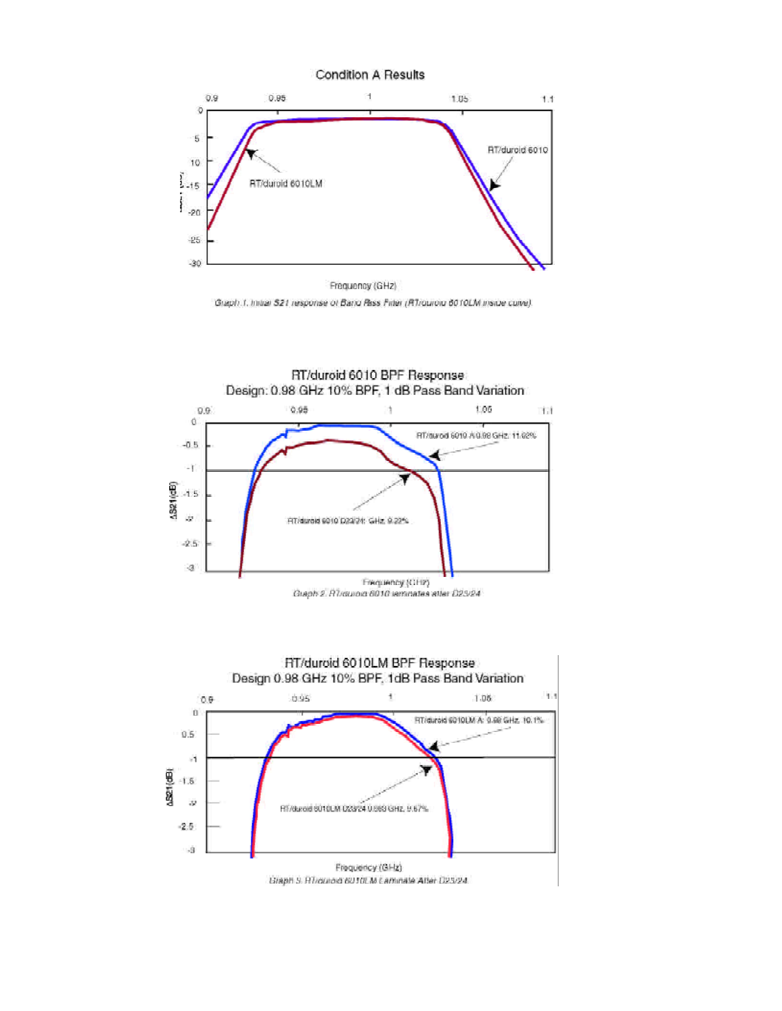

Guaph 1. Initial S21 response of Band Riss Filler (RTrouvoid 6010LM inside curve).



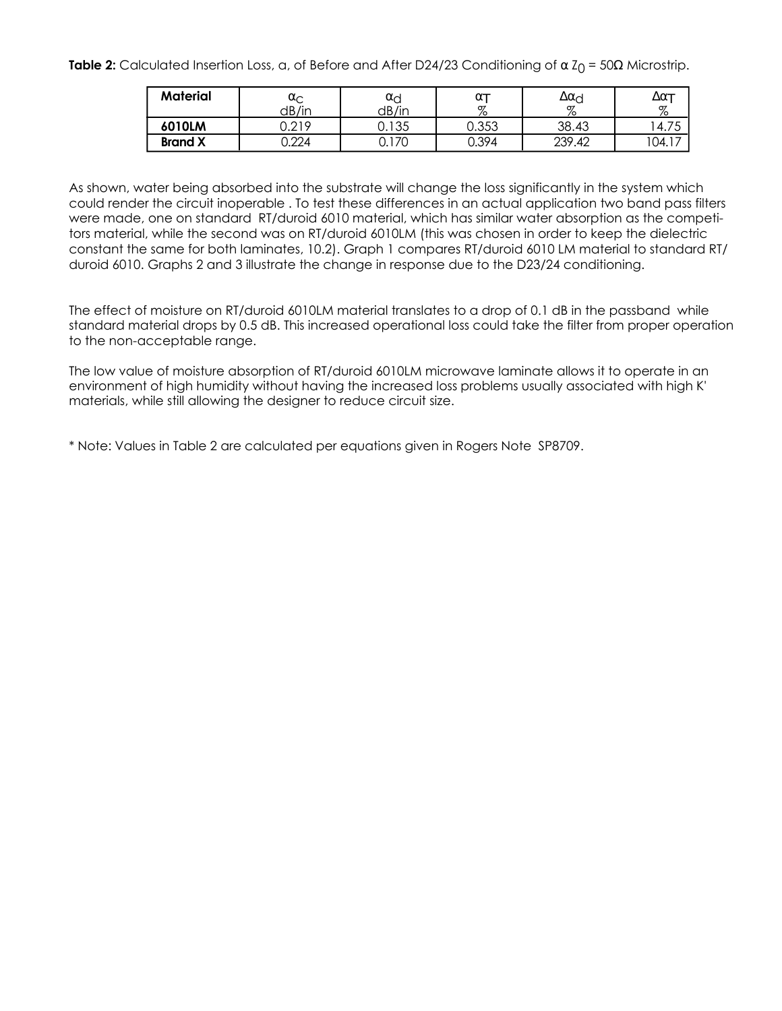**Table 2:** Calculated Insertion Loss, a, of Before and After D24/23 Conditioning of  $\alpha$  Z<sub>0</sub> = 50Ω Microstrip.

| <b>Material</b> | $\alpha_{\rm C}$<br>dB/in | $\alpha$ d<br>dB/in | $\alpha$ T<br>σ7 | $\Delta \alpha_{C'}$<br>$\sigma$ | $\Delta 0$ |
|-----------------|---------------------------|---------------------|------------------|----------------------------------|------------|
| 6010LM          |                           | 0.135               | 0.353            | 38.43                            | 14.7       |
| <b>Brand X</b>  | 0.224                     | 0.170               | 0.394            | 239.42                           | 104.1      |

As shown, water being absorbed into the substrate will change the loss significantly in the system which could render the circuit inoperable . To test these differences in an actual application two band pass filters were made, one on standard RT/duroid 6010 material, which has similar water absorption as the competitors material, while the second was on RT/duroid 6010LM (this was chosen in order to keep the dielectric constant the same for both laminates, 10.2). Graph 1 compares RT/duroid 6010 LM material to standard RT/ duroid 6010. Graphs 2 and 3 illustrate the change in response due to the D23/24 conditioning.

The effect of moisture on RT/duroid 6010LM material translates to a drop of 0.1 dB in the passband while standard material drops by 0.5 dB. This increased operational loss could take the filter from proper operation to the non-acceptable range.

The low value of moisture absorption of RT/duroid 6010LM microwave laminate allows it to operate in an environment of high humidity without having the increased loss problems usually associated with high K' materials, while still allowing the designer to reduce circuit size.

\* Note: Values in Table 2 are calculated per equations given in Rogers Note SP8709.